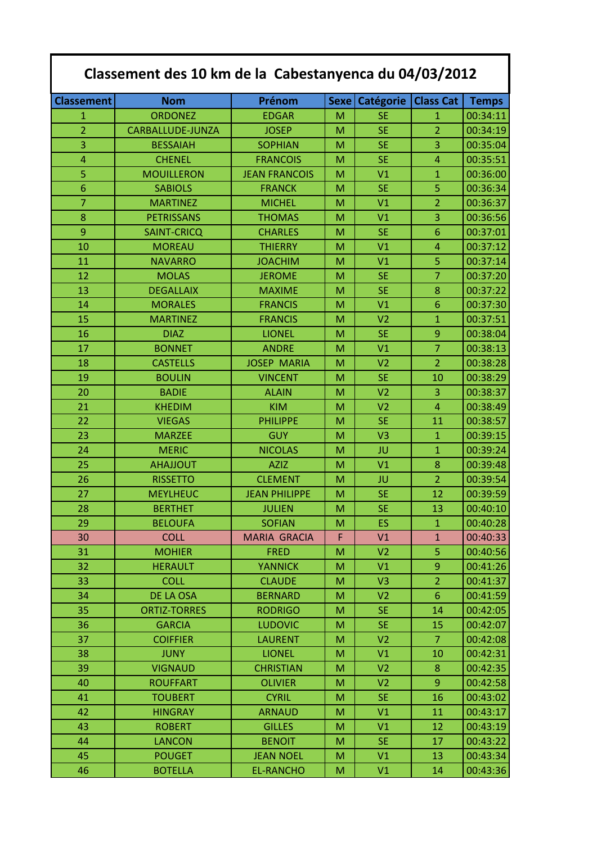| Classement des 10 km de la Cabestanyenca du 04/03/2012 |                     |                      |      |                  |                  |              |
|--------------------------------------------------------|---------------------|----------------------|------|------------------|------------------|--------------|
| <b>Classement</b>                                      | <b>Nom</b>          | Prénom               | Sexe | <b>Catégorie</b> | <b>Class Cat</b> | <b>Temps</b> |
| 1                                                      | <b>ORDONEZ</b>      | <b>EDGAR</b>         | M    | <b>SE</b>        | 1                | 00:34:11     |
| $\overline{2}$                                         | CARBALLUDE-JUNZA    | <b>JOSEP</b>         | M    | <b>SE</b>        | $\overline{2}$   | 00:34:19     |
| 3                                                      | <b>BESSAIAH</b>     | <b>SOPHIAN</b>       | M    | <b>SE</b>        | 3                | 00:35:04     |
| 4                                                      | <b>CHENEL</b>       | <b>FRANCOIS</b>      | M    | <b>SE</b>        | $\overline{4}$   | 00:35:51     |
| 5                                                      | <b>MOUILLERON</b>   | <b>JEAN FRANCOIS</b> | M    | V <sub>1</sub>   | $\mathbf{1}$     | 00:36:00     |
| 6                                                      | <b>SABIOLS</b>      | <b>FRANCK</b>        | М    | <b>SE</b>        | 5                | 00:36:34     |
| $\overline{7}$                                         | <b>MARTINEZ</b>     | <b>MICHEL</b>        | M    | V <sub>1</sub>   | $\overline{2}$   | 00:36:37     |
| 8                                                      | <b>PETRISSANS</b>   | <b>THOMAS</b>        | M    | V <sub>1</sub>   | 3                | 00:36:56     |
| 9                                                      | <b>SAINT-CRICQ</b>  | <b>CHARLES</b>       | M    | <b>SE</b>        | 6                | 00:37:01     |
| 10                                                     | <b>MOREAU</b>       | <b>THIERRY</b>       | M    | V <sub>1</sub>   | $\overline{4}$   | 00:37:12     |
| 11                                                     | <b>NAVARRO</b>      | <b>JOACHIM</b>       | M    | V <sub>1</sub>   | 5                | 00:37:14     |
| 12                                                     | <b>MOLAS</b>        | <b>JEROME</b>        | M    | <b>SE</b>        | $\overline{7}$   | 00:37:20     |
| 13                                                     | <b>DEGALLAIX</b>    | <b>MAXIME</b>        | M    | <b>SE</b>        | 8                | 00:37:22     |
| 14                                                     | <b>MORALES</b>      | <b>FRANCIS</b>       | M    | V <sub>1</sub>   | 6                | 00:37:30     |
| 15                                                     | <b>MARTINEZ</b>     | <b>FRANCIS</b>       | M    | V <sub>2</sub>   | $\mathbf{1}$     | 00:37:51     |
| 16                                                     | <b>DIAZ</b>         | <b>LIONEL</b>        | M    | <b>SE</b>        | 9                | 00:38:04     |
| 17                                                     | <b>BONNET</b>       | <b>ANDRE</b>         | M    | V <sub>1</sub>   | $\overline{7}$   | 00:38:13     |
| 18                                                     | <b>CASTELLS</b>     | <b>JOSEP MARIA</b>   | M    | V <sub>2</sub>   | $\overline{2}$   | 00:38:28     |
| 19                                                     | <b>BOULIN</b>       | <b>VINCENT</b>       | M    | <b>SE</b>        | 10               | 00:38:29     |
| 20                                                     | <b>BADIE</b>        | <b>ALAIN</b>         | M    | V <sub>2</sub>   | 3                | 00:38:37     |
| 21                                                     | <b>KHEDIM</b>       | <b>KIM</b>           | M    | V <sub>2</sub>   | $\overline{4}$   | 00:38:49     |
| 22                                                     | <b>VIEGAS</b>       | <b>PHILIPPE</b>      | M    | <b>SE</b>        | 11               | 00:38:57     |
| 23                                                     | <b>MARZEE</b>       | <b>GUY</b>           | M    | V <sub>3</sub>   | $\mathbf{1}$     | 00:39:15     |
| 24                                                     | <b>MERIC</b>        | <b>NICOLAS</b>       | M    | JU               | $\mathbf{1}$     | 00:39:24     |
| 25                                                     | <b>AHAJJOUT</b>     | <b>AZIZ</b>          | M    | V <sub>1</sub>   | 8                | 00:39:48     |
| 26                                                     | <b>RISSETTO</b>     | <b>CLEMENT</b>       | M    | JU               | $\overline{2}$   | 00:39:54     |
| 27                                                     | <b>MEYLHEUC</b>     | <b>JEAN PHILIPPE</b> | M    | <b>SE</b>        | 12               | 00:39:59     |
| 28                                                     | <b>BERTHET</b>      | <b>JULIEN</b>        | M    | <b>SE</b>        | 13               | 00:40:10     |
| 29                                                     | <b>BELOUFA</b>      | <b>SOFIAN</b>        | M    | ES.              | $\mathbf{1}$     | 00:40:28     |
| 30                                                     | <b>COLL</b>         | <b>MARIA GRACIA</b>  | F    | V1               | $\mathbf{1}$     | 00:40:33     |
| 31                                                     | <b>MOHIER</b>       | <b>FRED</b>          | M    | V <sub>2</sub>   | 5                | 00:40:56     |
| 32                                                     | <b>HERAULT</b>      | <b>YANNICK</b>       | M    | V1               | 9                | 00:41:26     |
| 33                                                     | <b>COLL</b>         | <b>CLAUDE</b>        | M    | V3               | $\overline{2}$   | 00:41:37     |
| 34                                                     | DE LA OSA           | <b>BERNARD</b>       | M    | V <sub>2</sub>   | $6\phantom{.}6$  | 00:41:59     |
| 35                                                     | <b>ORTIZ-TORRES</b> | <b>RODRIGO</b>       | M    | SE.              | 14               | 00:42:05     |
| 36                                                     | <b>GARCIA</b>       | <b>LUDOVIC</b>       | M    | <b>SE</b>        | 15               | 00:42:07     |
| 37                                                     | <b>COIFFIER</b>     | <b>LAURENT</b>       | M    | V <sub>2</sub>   | 7                | 00:42:08     |
| 38                                                     | <b>JUNY</b>         | <b>LIONEL</b>        | M    | V1               | 10               | 00:42:31     |
| 39                                                     | <b>VIGNAUD</b>      | <b>CHRISTIAN</b>     | M    | V <sub>2</sub>   | 8                | 00:42:35     |
| 40                                                     | <b>ROUFFART</b>     | <b>OLIVIER</b>       | M    | V <sub>2</sub>   | 9                | 00:42:58     |
| 41                                                     | <b>TOUBERT</b>      | <b>CYRIL</b>         | M    | <b>SE</b>        | 16               | 00:43:02     |
| 42                                                     | <b>HINGRAY</b>      | <b>ARNAUD</b>        | M    | V1               | 11               | 00:43:17     |
| 43                                                     | <b>ROBERT</b>       | <b>GILLES</b>        | M    | V1               | 12               | 00:43:19     |
| 44                                                     | <b>LANCON</b>       | <b>BENOIT</b>        | M    | SE.              | 17               | 00:43:22     |
| 45                                                     | <b>POUGET</b>       | <b>JEAN NOEL</b>     | M    | V1               | 13               | 00:43:34     |
| 46                                                     | <b>BOTELLA</b>      | <b>EL-RANCHO</b>     | M    | V1               | 14               | 00:43:36     |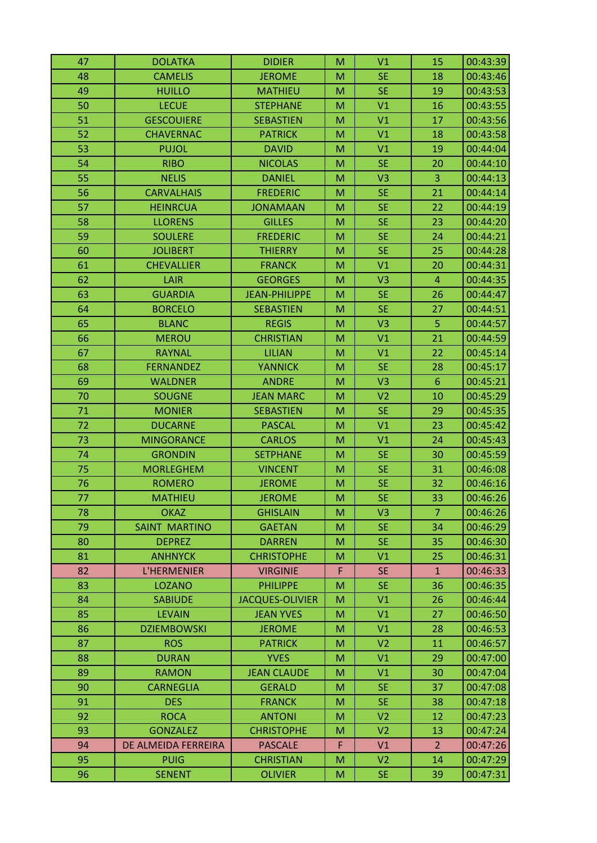| 47 | <b>DOLATKA</b>       | <b>DIDIER</b>          | M | V <sub>1</sub> | 15             | 00:43:39 |
|----|----------------------|------------------------|---|----------------|----------------|----------|
| 48 | <b>CAMELIS</b>       | <b>JEROME</b>          | M | <b>SE</b>      | 18             | 00:43:46 |
| 49 | <b>HUILLO</b>        | <b>MATHIEU</b>         | M | <b>SE</b>      | 19             | 00:43:53 |
| 50 | <b>LECUE</b>         | <b>STEPHANE</b>        | M | V <sub>1</sub> | 16             | 00:43:55 |
| 51 | <b>GESCOUIERE</b>    | <b>SEBASTIEN</b>       | M | V1             | 17             | 00:43:56 |
| 52 | <b>CHAVERNAC</b>     | <b>PATRICK</b>         | M | V1             | 18             | 00:43:58 |
| 53 | <b>PUJOL</b>         | <b>DAVID</b>           | M | V1             | 19             | 00:44:04 |
| 54 | <b>RIBO</b>          | <b>NICOLAS</b>         | M | <b>SE</b>      | 20             | 00:44:10 |
| 55 | <b>NELIS</b>         | <b>DANIEL</b>          | M | V <sub>3</sub> | 3              | 00:44:13 |
| 56 | <b>CARVALHAIS</b>    | <b>FREDERIC</b>        | M | <b>SE</b>      | 21             | 00:44:14 |
| 57 | <b>HEINRCUA</b>      | <b>JONAMAAN</b>        | M | <b>SE</b>      | 22             | 00:44:19 |
| 58 | <b>LLORENS</b>       | <b>GILLES</b>          | M | <b>SE</b>      | 23             | 00:44:20 |
| 59 | <b>SOULERE</b>       | <b>FREDERIC</b>        | M | <b>SE</b>      | 24             | 00:44:21 |
| 60 | <b>JOLIBERT</b>      | <b>THIERRY</b>         | M | <b>SE</b>      | 25             | 00:44:28 |
| 61 | <b>CHEVALLIER</b>    | <b>FRANCK</b>          | M | V1             | 20             | 00:44:31 |
| 62 | LAIR                 | <b>GEORGES</b>         | M | V <sub>3</sub> | $\overline{4}$ | 00:44:35 |
| 63 | <b>GUARDIA</b>       | <b>JEAN-PHILIPPE</b>   | M | <b>SE</b>      | 26             | 00:44:47 |
| 64 | <b>BORCELO</b>       | <b>SEBASTIEN</b>       | M | <b>SE</b>      | 27             | 00:44:51 |
| 65 | <b>BLANC</b>         | <b>REGIS</b>           | M | V <sub>3</sub> | 5              | 00:44:57 |
| 66 | <b>MEROU</b>         | <b>CHRISTIAN</b>       | M | V1             | 21             | 00:44:59 |
| 67 | <b>RAYNAL</b>        | <b>LILIAN</b>          | M | V1             | 22             | 00:45:14 |
| 68 | <b>FERNANDEZ</b>     | <b>YANNICK</b>         | M | <b>SE</b>      | 28             | 00:45:17 |
| 69 | <b>WALDNER</b>       | <b>ANDRE</b>           | M | V <sub>3</sub> | $6\phantom{1}$ | 00:45:21 |
| 70 | <b>SOUGNE</b>        | <b>JEAN MARC</b>       | M | V <sub>2</sub> | 10             | 00:45:29 |
| 71 | <b>MONIER</b>        | <b>SEBASTIEN</b>       | M | <b>SE</b>      | 29             | 00:45:35 |
| 72 | <b>DUCARNE</b>       | <b>PASCAL</b>          | M | V1             | 23             | 00:45:42 |
| 73 | <b>MINGORANCE</b>    | <b>CARLOS</b>          | M | V1             | 24             | 00:45:43 |
| 74 | <b>GRONDIN</b>       | <b>SETPHANE</b>        | M | <b>SE</b>      | 30             | 00:45:59 |
| 75 | <b>MORLEGHEM</b>     | <b>VINCENT</b>         | M | <b>SE</b>      | 31             | 00:46:08 |
| 76 | <b>ROMERO</b>        | <b>JEROME</b>          | M | <b>SE</b>      | 32             | 00:46:16 |
| 77 | <b>MATHIEU</b>       | <b>JEROME</b>          | M | <b>SE</b>      | 33             | 00:46:26 |
| 78 | <b>OKAZ</b>          | <b>GHISLAIN</b>        | M | V <sub>3</sub> | $\overline{7}$ | 00:46:26 |
| 79 | <b>SAINT MARTINO</b> | <b>GAETAN</b>          | M | <b>SE</b>      | 34             | 00:46:29 |
| 80 | <b>DEPREZ</b>        | <b>DARREN</b>          | M | SE.            | 35             | 00:46:30 |
| 81 | <b>ANHNYCK</b>       | <b>CHRISTOPHE</b>      | M | V1             | 25             | 00:46:31 |
| 82 | L'HERMENIER          | <b>VIRGINIE</b>        | F | SE.            | $\mathbf{1}$   | 00:46:33 |
| 83 | <b>LOZANO</b>        | <b>PHILIPPE</b>        | M | SE.            | 36             | 00:46:35 |
| 84 | <b>SABIUDE</b>       | <b>JACQUES-OLIVIER</b> | M | V1             | 26             | 00:46:44 |
| 85 | <b>LEVAIN</b>        | <b>JEAN YVES</b>       | M | V1             | 27             | 00:46:50 |
| 86 | <b>DZIEMBOWSKI</b>   | <b>JEROME</b>          | M | V1             | 28             | 00:46:53 |
| 87 | <b>ROS</b>           | <b>PATRICK</b>         | M | V <sub>2</sub> | 11             | 00:46:57 |
| 88 | <b>DURAN</b>         | <b>YVES</b>            | M | V1             | 29             | 00:47:00 |
| 89 | <b>RAMON</b>         | <b>JEAN CLAUDE</b>     | M | V1             | 30             | 00:47:04 |
| 90 | <b>CARNEGLIA</b>     | <b>GERALD</b>          | M | <b>SE</b>      | 37             | 00:47:08 |
| 91 | <b>DES</b>           | <b>FRANCK</b>          | M | <b>SE</b>      | 38             | 00:47:18 |
| 92 | <b>ROCA</b>          | <b>ANTONI</b>          | M | V <sub>2</sub> | 12             | 00:47:23 |
| 93 | <b>GONZALEZ</b>      | <b>CHRISTOPHE</b>      | M | V <sub>2</sub> | 13             | 00:47:24 |
| 94 | DE ALMEIDA FERREIRA  | <b>PASCALE</b>         | F | V1             | $\overline{2}$ | 00:47:26 |
| 95 | <b>PUIG</b>          | <b>CHRISTIAN</b>       | M | V <sub>2</sub> | 14             | 00:47:29 |
| 96 | <b>SENENT</b>        | <b>OLIVIER</b>         | M | <b>SE</b>      | 39             | 00:47:31 |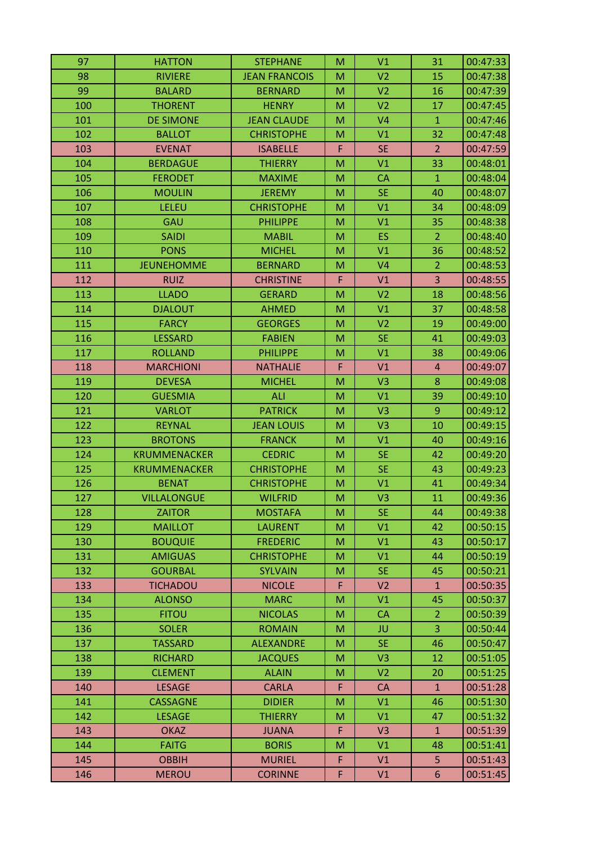| 97  | <b>HATTON</b>       | <b>STEPHANE</b>      | M | V <sub>1</sub> | 31             | 00:47:33 |
|-----|---------------------|----------------------|---|----------------|----------------|----------|
| 98  | <b>RIVIERE</b>      | <b>JEAN FRANCOIS</b> | M | V <sub>2</sub> | 15             | 00:47:38 |
| 99  | <b>BALARD</b>       | <b>BERNARD</b>       | M | V <sub>2</sub> | 16             | 00:47:39 |
| 100 | <b>THORENT</b>      | <b>HENRY</b>         | M | V <sub>2</sub> | 17             | 00:47:45 |
| 101 | <b>DE SIMONE</b>    | <b>JEAN CLAUDE</b>   | M | V <sub>4</sub> | $\mathbf{1}$   | 00:47:46 |
| 102 | <b>BALLOT</b>       | <b>CHRISTOPHE</b>    | M | V1             | 32             | 00:47:48 |
| 103 | <b>EVENAT</b>       | <b>ISABELLE</b>      | F | <b>SE</b>      | $\overline{2}$ | 00:47:59 |
| 104 | <b>BERDAGUE</b>     | <b>THIERRY</b>       | M | V <sub>1</sub> | 33             | 00:48:01 |
| 105 | <b>FERODET</b>      | <b>MAXIME</b>        | M | <b>CA</b>      | $\mathbf{1}$   | 00:48:04 |
| 106 | <b>MOULIN</b>       | <b>JEREMY</b>        | M | <b>SE</b>      | 40             | 00:48:07 |
| 107 | LELEU               | <b>CHRISTOPHE</b>    | M | V <sub>1</sub> | 34             | 00:48:09 |
| 108 | GAU                 | <b>PHILIPPE</b>      | M | V <sub>1</sub> | 35             | 00:48:38 |
| 109 | <b>SAIDI</b>        | <b>MABIL</b>         | M | ES             | $\overline{2}$ | 00:48:40 |
| 110 | <b>PONS</b>         | <b>MICHEL</b>        | M | V <sub>1</sub> | 36             | 00:48:52 |
| 111 | <b>JEUNEHOMME</b>   | <b>BERNARD</b>       | M | V <sub>4</sub> | $\overline{2}$ | 00:48:53 |
| 112 | <b>RUIZ</b>         | <b>CHRISTINE</b>     | F | V1             | 3              | 00:48:55 |
| 113 | <b>LLADO</b>        | <b>GERARD</b>        | M | V <sub>2</sub> | 18             | 00:48:56 |
| 114 | <b>DJALOUT</b>      | <b>AHMED</b>         | M | V <sub>1</sub> | 37             | 00:48:58 |
| 115 | <b>FARCY</b>        | <b>GEORGES</b>       | M | V <sub>2</sub> | 19             | 00:49:00 |
| 116 | <b>LESSARD</b>      | <b>FABIEN</b>        | M | <b>SE</b>      | 41             | 00:49:03 |
| 117 | <b>ROLLAND</b>      | <b>PHILIPPE</b>      | M | V <sub>1</sub> | 38             | 00:49:06 |
| 118 | <b>MARCHIONI</b>    | <b>NATHALIE</b>      | F | V <sub>1</sub> | $\overline{4}$ | 00:49:07 |
| 119 | <b>DEVESA</b>       | <b>MICHEL</b>        | M | V <sub>3</sub> | 8              | 00:49:08 |
| 120 | <b>GUESMIA</b>      | <b>ALI</b>           | M | V <sub>1</sub> | 39             | 00:49:10 |
| 121 | <b>VARLOT</b>       | <b>PATRICK</b>       | M | V <sub>3</sub> | 9              | 00:49:12 |
| 122 | <b>REYNAL</b>       | <b>JEAN LOUIS</b>    | M | V <sub>3</sub> | 10             | 00:49:15 |
| 123 | <b>BROTONS</b>      | <b>FRANCK</b>        | M | V1             | 40             | 00:49:16 |
| 124 | <b>KRUMMENACKER</b> | <b>CEDRIC</b>        | M | <b>SE</b>      | 42             | 00:49:20 |
| 125 | <b>KRUMMENACKER</b> | <b>CHRISTOPHE</b>    | M | <b>SE</b>      | 43             | 00:49:23 |
| 126 | <b>BENAT</b>        | <b>CHRISTOPHE</b>    | M | V <sub>1</sub> | 41             | 00:49:34 |
| 127 | <b>VILLALONGUE</b>  | <b>WILFRID</b>       | M | V <sub>3</sub> | 11             | 00:49:36 |
| 128 | <b>ZAITOR</b>       | <b>MOSTAFA</b>       | M | <b>SE</b>      | 44             | 00:49:38 |
| 129 | <b>MAILLOT</b>      | <b>LAURENT</b>       | M | V1             | 42             | 00:50:15 |
| 130 | <b>BOUQUIE</b>      | <b>FREDERIC</b>      | M | V1             | 43             | 00:50:17 |
| 131 | <b>AMIGUAS</b>      | <b>CHRISTOPHE</b>    | M | V1             | 44             | 00:50:19 |
| 132 | <b>GOURBAL</b>      | <b>SYLVAIN</b>       | M | SE.            | 45             | 00:50:21 |
| 133 | <b>TICHADOU</b>     | <b>NICOLE</b>        | F | V <sub>2</sub> | $\mathbf{1}$   | 00:50:35 |
| 134 | <b>ALONSO</b>       | <b>MARC</b>          | M | V1             | 45             | 00:50:37 |
| 135 | <b>FITOU</b>        | <b>NICOLAS</b>       | M | <b>CA</b>      | $\overline{2}$ | 00:50:39 |
| 136 | <b>SOLER</b>        | <b>ROMAIN</b>        | M | JU             | 3              | 00:50:44 |
| 137 | <b>TASSARD</b>      | <b>ALEXANDRE</b>     | M | SE.            | 46             | 00:50:47 |
| 138 | <b>RICHARD</b>      | <b>JACQUES</b>       | M | V <sub>3</sub> | 12             | 00:51:05 |
| 139 | <b>CLEMENT</b>      | <b>ALAIN</b>         | M | V <sub>2</sub> | 20             | 00:51:25 |
| 140 | <b>LESAGE</b>       | <b>CARLA</b>         | F | <b>CA</b>      | $\mathbf{1}$   | 00:51:28 |
| 141 | <b>CASSAGNE</b>     | <b>DIDIER</b>        | M | V1             | 46             | 00:51:30 |
| 142 | <b>LESAGE</b>       | <b>THIERRY</b>       | M | V1             | 47             | 00:51:32 |
| 143 | <b>OKAZ</b>         | <b>JUANA</b>         | F | V <sub>3</sub> | $\mathbf{1}$   | 00:51:39 |
| 144 | <b>FAITG</b>        | <b>BORIS</b>         | M | V <sub>1</sub> | 48             | 00:51:41 |
| 145 | <b>OBBIH</b>        | <b>MURIEL</b>        | F | V1             | 5              | 00:51:43 |
| 146 | <b>MEROU</b>        | <b>CORINNE</b>       | F | V1             | 6              | 00:51:45 |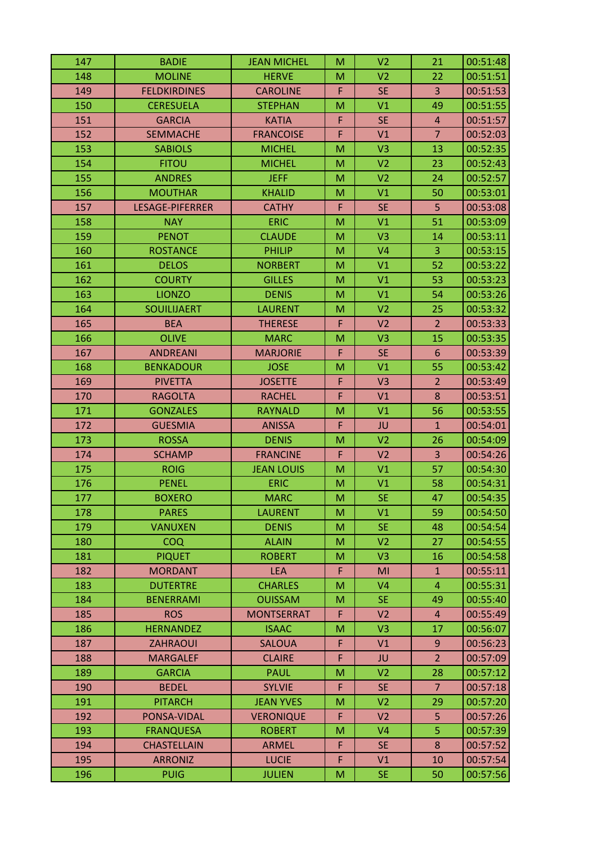| 147 | <b>BADIE</b>           | <b>JEAN MICHEL</b> | M | V <sub>2</sub> | 21             | 00:51:48 |
|-----|------------------------|--------------------|---|----------------|----------------|----------|
| 148 | <b>MOLINE</b>          | <b>HERVE</b>       | M | V <sub>2</sub> | 22             | 00:51:51 |
| 149 | <b>FELDKIRDINES</b>    | <b>CAROLINE</b>    | F | <b>SE</b>      | 3              | 00:51:53 |
| 150 | <b>CERESUELA</b>       | <b>STEPHAN</b>     | M | V1             | 49             | 00:51:55 |
| 151 | <b>GARCIA</b>          | <b>KATIA</b>       | F | <b>SE</b>      | $\overline{4}$ | 00:51:57 |
| 152 | <b>SEMMACHE</b>        | <b>FRANCOISE</b>   | F | V1             | $\overline{7}$ | 00:52:03 |
| 153 | <b>SABIOLS</b>         | <b>MICHEL</b>      | M | V <sub>3</sub> | 13             | 00:52:35 |
| 154 | <b>FITOU</b>           | <b>MICHEL</b>      | M | V <sub>2</sub> | 23             | 00:52:43 |
| 155 | <b>ANDRES</b>          | <b>JEFF</b>        | M | V <sub>2</sub> | 24             | 00:52:57 |
| 156 | <b>MOUTHAR</b>         | <b>KHALID</b>      | M | V <sub>1</sub> | 50             | 00:53:01 |
| 157 | <b>LESAGE-PIFERRER</b> | <b>CATHY</b>       | F | <b>SE</b>      | 5              | 00:53:08 |
| 158 | <b>NAY</b>             | <b>ERIC</b>        | M | V1             | 51             | 00:53:09 |
| 159 | <b>PENOT</b>           | <b>CLAUDE</b>      | M | V <sub>3</sub> | 14             | 00:53:11 |
| 160 | <b>ROSTANCE</b>        | <b>PHILIP</b>      | M | V <sub>4</sub> | $\overline{3}$ | 00:53:15 |
| 161 | <b>DELOS</b>           | <b>NORBERT</b>     | M | V <sub>1</sub> | 52             | 00:53:22 |
| 162 | <b>COURTY</b>          | <b>GILLES</b>      | M | V1             | 53             | 00:53:23 |
| 163 | <b>LIONZO</b>          | <b>DENIS</b>       | M | V1             | 54             | 00:53:26 |
| 164 | <b>SOUILIJAERT</b>     | <b>LAURENT</b>     | M | V <sub>2</sub> | 25             | 00:53:32 |
| 165 | <b>BEA</b>             | <b>THERESE</b>     | F | V <sub>2</sub> | $\overline{2}$ | 00:53:33 |
| 166 | <b>OLIVE</b>           | <b>MARC</b>        | M | V3             | 15             | 00:53:35 |
| 167 | <b>ANDREANI</b>        | <b>MARJORIE</b>    | F | <b>SE</b>      | 6              | 00:53:39 |
| 168 | <b>BENKADOUR</b>       | <b>JOSE</b>        | M | V1             | 55             | 00:53:42 |
| 169 | <b>PIVETTA</b>         | <b>JOSETTE</b>     | F | V3             | $\overline{2}$ | 00:53:49 |
| 170 | <b>RAGOLTA</b>         | <b>RACHEL</b>      | F | V1             | 8              | 00:53:51 |
| 171 | <b>GONZALES</b>        | <b>RAYNALD</b>     | M | V1             | 56             | 00:53:55 |
| 172 | <b>GUESMIA</b>         | <b>ANISSA</b>      | F | JU             | $\mathbf{1}$   | 00:54:01 |
| 173 | <b>ROSSA</b>           | <b>DENIS</b>       | M | V <sub>2</sub> | 26             | 00:54:09 |
| 174 | <b>SCHAMP</b>          | <b>FRANCINE</b>    | F | V <sub>2</sub> | 3              | 00:54:26 |
| 175 | <b>ROIG</b>            | <b>JEAN LOUIS</b>  | M | V <sub>1</sub> | 57             | 00:54:30 |
| 176 | <b>PENEL</b>           | <b>ERIC</b>        | M | V1             | 58             | 00:54:31 |
| 177 | <b>BOXERO</b>          | <b>MARC</b>        | M | <b>SE</b>      | 47             | 00:54:35 |
| 178 | <b>PARES</b>           | <b>LAURENT</b>     | M | V <sub>1</sub> | 59             | 00:54:50 |
| 179 | <b>VANUXEN</b>         | <b>DENIS</b>       | M | <b>SE</b>      | 48             | 00:54:54 |
| 180 | <b>COQ</b>             | <b>ALAIN</b>       | M | V <sub>2</sub> | 27             | 00:54:55 |
| 181 | <b>PIQUET</b>          | <b>ROBERT</b>      | M | V <sub>3</sub> | 16             | 00:54:58 |
| 182 | <b>MORDANT</b>         | <b>LEA</b>         | F | MI             | $\mathbf{1}$   | 00:55:11 |
| 183 | <b>DUTERTRE</b>        | <b>CHARLES</b>     | M | V <sub>4</sub> | $\overline{4}$ | 00:55:31 |
| 184 | <b>BENERRAMI</b>       | <b>OUISSAM</b>     | M | <b>SE</b>      | 49             | 00:55:40 |
| 185 | <b>ROS</b>             | <b>MONTSERRAT</b>  | F | V <sub>2</sub> | $\overline{4}$ | 00:55:49 |
| 186 | <b>HERNANDEZ</b>       | <b>ISAAC</b>       | M | V <sub>3</sub> | 17             | 00:56:07 |
| 187 | <b>ZAHRAOUI</b>        | <b>SALOUA</b>      | F | V1             | 9              | 00:56:23 |
| 188 | <b>MARGALEF</b>        | <b>CLAIRE</b>      | F | JU             | $\overline{2}$ | 00:57:09 |
| 189 | <b>GARCIA</b>          | <b>PAUL</b>        | M | V <sub>2</sub> | 28             | 00:57:12 |
| 190 | <b>BEDEL</b>           | <b>SYLVIE</b>      | F | <b>SE</b>      | $\overline{7}$ | 00:57:18 |
| 191 | <b>PITARCH</b>         | <b>JEAN YVES</b>   | M | V <sub>2</sub> | 29             | 00:57:20 |
| 192 | PONSA-VIDAL            | <b>VERONIQUE</b>   | F | V <sub>2</sub> | 5              | 00:57:26 |
| 193 | <b>FRANQUESA</b>       | <b>ROBERT</b>      | M | V <sub>4</sub> | $\overline{5}$ | 00:57:39 |
| 194 | <b>CHASTELLAIN</b>     | <b>ARMEL</b>       | F | <b>SE</b>      | 8              | 00:57:52 |
| 195 | <b>ARRONIZ</b>         | <b>LUCIE</b>       | F | V1             | 10             | 00:57:54 |
| 196 | <b>PUIG</b>            | <b>JULIEN</b>      | M | <b>SE</b>      | 50             | 00:57:56 |